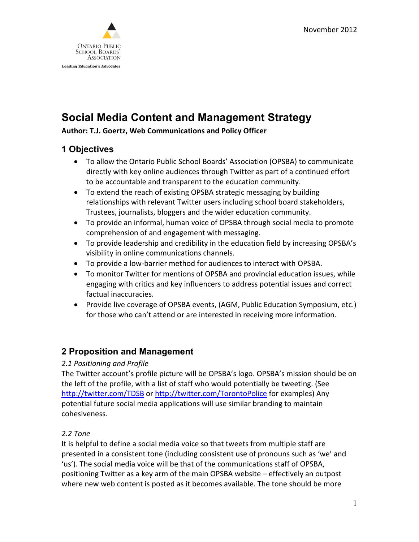

## **Social Media Content and Management Strategy**

### **Author: T.J. Goertz, Web Communications and Policy Officer**

### **1 Objectives**

- To allow the Ontario Public School Boards' Association (OPSBA) to communicate directly with key online audiences through Twitter as part of a continued effort to be accountable and transparent to the education community.
- To extend the reach of existing OPSBA strategic messaging by building relationships with relevant Twitter users including school board stakeholders, Trustees, journalists, bloggers and the wider education community.
- To provide an informal, human voice of OPSBA through social media to promote comprehension of and engagement with messaging.
- To provide leadership and credibility in the education field by increasing OPSBA's visibility in online communications channels.
- To provide a low-barrier method for audiences to interact with OPSBA.
- To monitor Twitter for mentions of OPSBA and provincial education issues, while engaging with critics and key influencers to address potential issues and correct factual inaccuracies.
- Provide live coverage of OPSBA events, (AGM, Public Education Symposium, etc.) for those who can't attend or are interested in receiving more information.

### **2 Proposition and Management**

### *2.1 Positioning and Profile*

The Twitter account's profile picture will be OPSBA's logo. OPSBA's mission should be on the left of the profile, with a list of staff who would potentially be tweeting. (See <http://twitter.com/TDSB> or<http://twitter.com/TorontoPolice> for examples) Any potential future social media applications will use similar branding to maintain cohesiveness.

### *2.2 Tone*

It is helpful to define a social media voice so that tweets from multiple staff are presented in a consistent tone (including consistent use of pronouns such as 'we' and 'us'). The social media voice will be that of the communications staff of OPSBA, positioning Twitter as a key arm of the main OPSBA website – effectively an outpost where new web content is posted as it becomes available. The tone should be more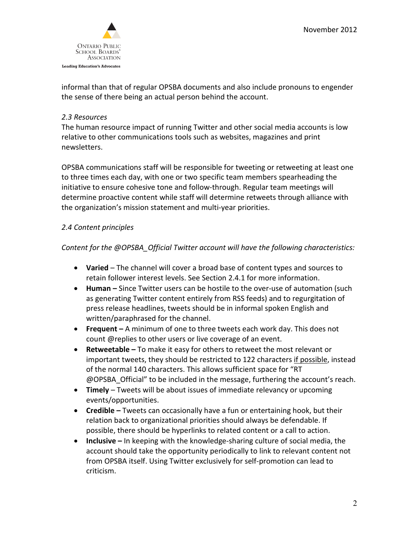

informal than that of regular OPSBA documents and also include pronouns to engender the sense of there being an actual person behind the account.

### *2.3 Resources*

The human resource impact of running Twitter and other social media accounts is low relative to other communications tools such as websites, magazines and print newsletters.

OPSBA communications staff will be responsible for tweeting or retweeting at least one to three times each day, with one or two specific team members spearheading the initiative to ensure cohesive tone and follow-through. Regular team meetings will determine proactive content while staff will determine retweets through alliance with the organization's mission statement and multi-year priorities.

### *2.4 Content principles*

### *Content for the @OPSBA\_Official Twitter account will have the following characteristics:*

- **Varied**  The channel will cover a broad base of content types and sources to retain follower interest levels. See Section 2.4.1 for more information.
- **Human –** Since Twitter users can be hostile to the over-use of automation (such as generating Twitter content entirely from RSS feeds) and to regurgitation of press release headlines, tweets should be in informal spoken English and written/paraphrased for the channel.
- **Frequent –** A minimum of one to three tweets each work day. This does not count @replies to other users or live coverage of an event.
- **Retweetable –** To make it easy for others to retweet the most relevant or important tweets, they should be restricted to 122 characters if possible, instead of the normal 140 characters. This allows sufficient space for "RT @OPSBA\_Official" to be included in the message, furthering the account's reach.
- **Timely**  Tweets will be about issues of immediate relevancy or upcoming events/opportunities.
- **Credible –** Tweets can occasionally have a fun or entertaining hook, but their relation back to organizational priorities should always be defendable. If possible, there should be hyperlinks to related content or a call to action.
- **Inclusive –** In keeping with the knowledge-sharing culture of social media, the account should take the opportunity periodically to link to relevant content not from OPSBA itself. Using Twitter exclusively for self-promotion can lead to criticism.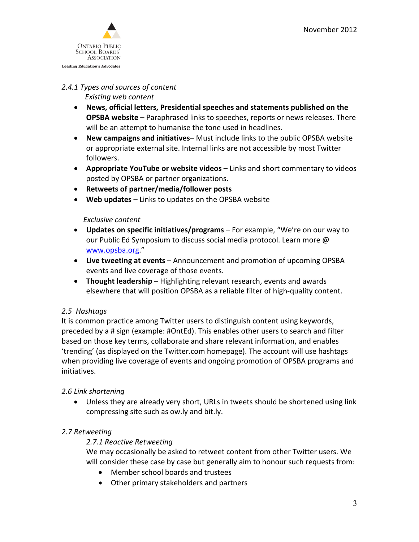

### *2.4.1 Types and sources of content*

 *Existing web content*

- **News, official letters, Presidential speeches and statements published on the OPSBA website** – Paraphrased links to speeches, reports or news releases. There will be an attempt to humanise the tone used in headlines.
- **New campaigns and initiatives** Must include links to the public OPSBA website or appropriate external site. Internal links are not accessible by most Twitter followers.
- **Appropriate YouTube or website videos** Links and short commentary to videos posted by OPSBA or partner organizations.
- **Retweets of partner/media/follower posts**
- **Web updates**  Links to updates on the OPSBA website

#### *Exclusive content*

- **Updates on specific initiatives/programs** For example, "We're on our way to our Public Ed Symposium to discuss social media protocol. Learn more @ [www.opsba.org.](http://www.opsba.org/)"
- **Live tweeting at events** *–* Announcement and promotion of upcoming OPSBA events and live coverage of those events.
- **Thought leadership** Highlighting relevant research, events and awards elsewhere that will position OPSBA as a reliable filter of high-quality content.

### *2.5 Hashtags*

It is common practice among Twitter users to distinguish content using keywords, preceded by a # sign (example: #OntEd). This enables other users to search and filter based on those key terms, collaborate and share relevant information, and enables 'trending' (as displayed on the Twitter.com homepage). The account will use hashtags when providing live coverage of events and ongoing promotion of OPSBA programs and initiatives.

### *2.6 Link shortening*

• Unless they are already very short, URLs in tweets should be shortened using link compressing site such as ow.ly and bit.ly.

### *2.7 Retweeting*

### *2.7.1 Reactive Retweeting*

We may occasionally be asked to retweet content from other Twitter users. We will consider these case by case but generally aim to honour such requests from:

- Member school boards and trustees
- Other primary stakeholders and partners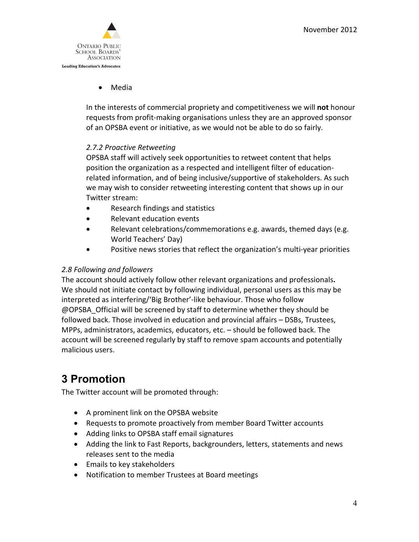

• Media

In the interests of commercial propriety and competitiveness we will **not** honour requests from profit-making organisations unless they are an approved sponsor of an OPSBA event or initiative, as we would not be able to do so fairly.

### *2.7.2 Proactive Retweeting*

OPSBA staff will actively seek opportunities to retweet content that helps position the organization as a respected and intelligent filter of educationrelated information, and of being inclusive/supportive of stakeholders. As such we may wish to consider retweeting interesting content that shows up in our Twitter stream:

- Research findings and statistics
- Relevant education events
- Relevant celebrations/commemorations e.g. awards, themed days (e.g. World Teachers' Day)
- Positive news stories that reflect the organization's multi-year priorities

### *2.8 Following and followers*

The account should actively follow other relevant organizations and professionals**.** We should not initiate contact by following individual, personal users as this may be interpreted as interfering/'Big Brother'-like behaviour. Those who follow @OPSBA\_Official will be screened by staff to determine whether they should be followed back. Those involved in education and provincial affairs – DSBs, Trustees, MPPs, administrators, academics, educators, etc. – should be followed back. The account will be screened regularly by staff to remove spam accounts and potentially malicious users.

## **3 Promotion**

The Twitter account will be promoted through:

- A prominent link on the OPSBA website
- Requests to promote proactively from member Board Twitter accounts
- Adding links to OPSBA staff email signatures
- Adding the link to Fast Reports, backgrounders, letters, statements and news releases sent to the media
- Emails to key stakeholders
- Notification to member Trustees at Board meetings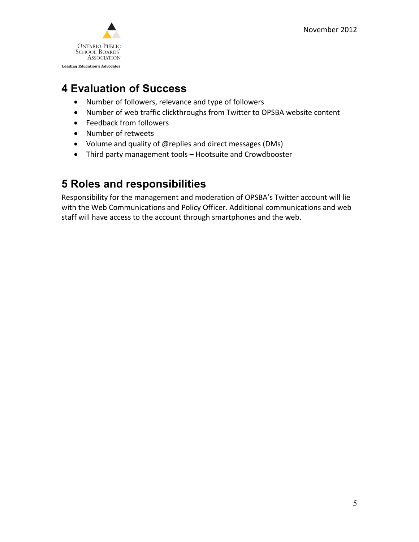

## **4 Evaluation of Success**

- Number of followers, relevance and type of followers
- Number of web traffic clickthroughs from Twitter to OPSBA website content
- Feedback from followers
- Number of retweets
- Volume and quality of @replies and direct messages (DMs)
- Third party management tools Hootsuite and Crowdbooster

## **5 Roles and responsibilities**

Responsibility for the management and moderation of OPSBA's Twitter account will lie with the Web Communications and Policy Officer. Additional communications and web staff will have access to the account through smartphones and the web.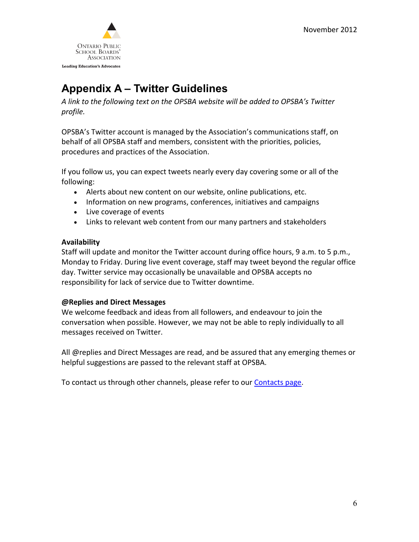

# **Appendix A – Twitter Guidelines**

*A link to the following text on the OPSBA website will be added to OPSBA's Twitter profile.*

OPSBA's Twitter account is managed by the Association's communications staff, on behalf of all OPSBA staff and members, consistent with the priorities, policies, procedures and practices of the Association.

If you follow us, you can expect tweets nearly every day covering some or all of the following:

- Alerts about new content on our website, online publications, etc.
- Information on new programs, conferences, initiatives and campaigns
- Live coverage of events
- Links to relevant web content from our many partners and stakeholders

### **Availability**

Staff will update and monitor the Twitter account during office hours, 9 a.m. to 5 p.m., Monday to Friday. During live event coverage, staff may tweet beyond the regular office day. Twitter service may occasionally be unavailable and OPSBA accepts no responsibility for lack of service due to Twitter downtime.

### **@Replies and Direct Messages**

We welcome feedback and ideas from all followers, and endeavour to join the conversation when possible. However, we may not be able to reply individually to all messages received on Twitter.

All @replies and Direct Messages are read, and be assured that any emerging themes or helpful suggestions are passed to the relevant staff at OPSBA.

To contact us through other channels, please refer to our [Contacts page.](http://www.opsba.org/index.php?q=contact)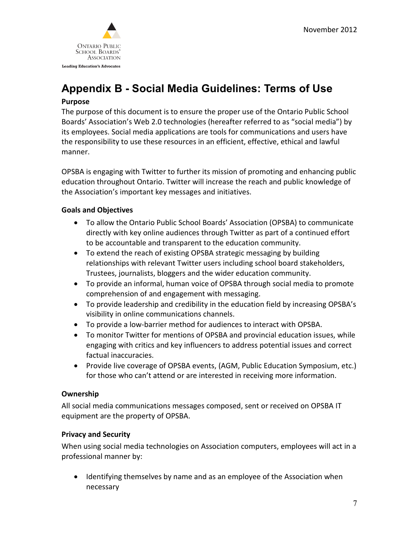

# **Appendix B - Social Media Guidelines: Terms of Use**

### **Purpose**

The purpose of this document is to ensure the proper use of the Ontario Public School Boards' Association's Web 2.0 technologies (hereafter referred to as "social media") by its employees. Social media applications are tools for communications and users have the responsibility to use these resources in an efficient, effective, ethical and lawful manner.

OPSBA is engaging with Twitter to further its mission of promoting and enhancing public education throughout Ontario. Twitter will increase the reach and public knowledge of the Association's important key messages and initiatives.

### **Goals and Objectives**

- To allow the Ontario Public School Boards' Association (OPSBA) to communicate directly with key online audiences through Twitter as part of a continued effort to be accountable and transparent to the education community.
- To extend the reach of existing OPSBA strategic messaging by building relationships with relevant Twitter users including school board stakeholders, Trustees, journalists, bloggers and the wider education community.
- To provide an informal, human voice of OPSBA through social media to promote comprehension of and engagement with messaging.
- To provide leadership and credibility in the education field by increasing OPSBA's visibility in online communications channels.
- To provide a low-barrier method for audiences to interact with OPSBA.
- To monitor Twitter for mentions of OPSBA and provincial education issues, while engaging with critics and key influencers to address potential issues and correct factual inaccuracies.
- Provide live coverage of OPSBA events, (AGM, Public Education Symposium, etc.) for those who can't attend or are interested in receiving more information.

### **Ownership**

All social media communications messages composed, sent or received on OPSBA IT equipment are the property of OPSBA.

### **Privacy and Security**

When using social media technologies on Association computers, employees will act in a professional manner by:

• Identifying themselves by name and as an employee of the Association when necessary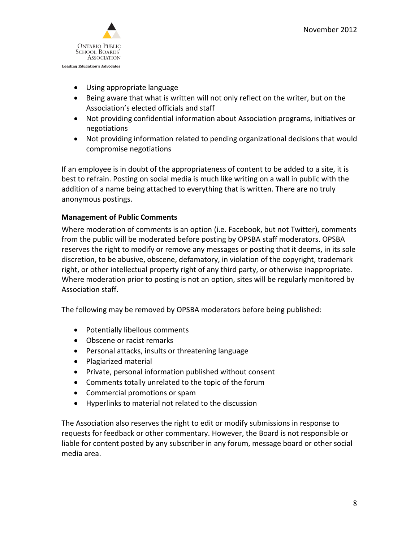

- Using appropriate language
- Being aware that what is written will not only reflect on the writer, but on the Association's elected officials and staff
- Not providing confidential information about Association programs, initiatives or negotiations
- Not providing information related to pending organizational decisions that would compromise negotiations

If an employee is in doubt of the appropriateness of content to be added to a site, it is best to refrain. Posting on social media is much like writing on a wall in public with the addition of a name being attached to everything that is written. There are no truly anonymous postings.

### **Management of Public Comments**

Where moderation of comments is an option (i.e. Facebook, but not Twitter), comments from the public will be moderated before posting by OPSBA staff moderators. OPSBA reserves the right to modify or remove any messages or posting that it deems, in its sole discretion, to be abusive, obscene, defamatory, in violation of the copyright, trademark right, or other intellectual property right of any third party, or otherwise inappropriate. Where moderation prior to posting is not an option, sites will be regularly monitored by Association staff.

The following may be removed by OPSBA moderators before being published:

- Potentially libellous comments
- Obscene or racist remarks
- Personal attacks, insults or threatening language
- Plagiarized material
- Private, personal information published without consent
- Comments totally unrelated to the topic of the forum
- Commercial promotions or spam
- Hyperlinks to material not related to the discussion

The Association also reserves the right to edit or modify submissions in response to requests for feedback or other commentary. However, the Board is not responsible or liable for content posted by any subscriber in any forum, message board or other social media area.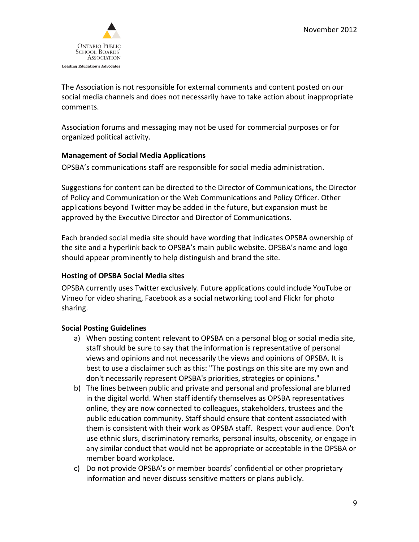

The Association is not responsible for external comments and content posted on our social media channels and does not necessarily have to take action about inappropriate comments.

Association forums and messaging may not be used for commercial purposes or for organized political activity.

### **Management of Social Media Applications**

OPSBA's communications staff are responsible for social media administration.

Suggestions for content can be directed to the Director of Communications, the Director of Policy and Communication or the Web Communications and Policy Officer. Other applications beyond Twitter may be added in the future, but expansion must be approved by the Executive Director and Director of Communications.

Each branded social media site should have wording that indicates OPSBA ownership of the site and a hyperlink back to OPSBA's main public website. OPSBA's name and logo should appear prominently to help distinguish and brand the site.

### **Hosting of OPSBA Social Media sites**

OPSBA currently uses Twitter exclusively. Future applications could include YouTube or Vimeo for video sharing, Facebook as a social networking tool and Flickr for photo sharing.

### **Social Posting Guidelines**

- a) When posting content relevant to OPSBA on a personal blog or social media site, staff should be sure to say that the information is representative of personal views and opinions and not necessarily the views and opinions of OPSBA. It is best to use a disclaimer such as this: "The postings on this site are my own and don't necessarily represent OPSBA's priorities, strategies or opinions."
- b) The lines between public and private and personal and professional are blurred in the digital world. When staff identify themselves as OPSBA representatives online, they are now connected to colleagues, stakeholders, trustees and the public education community. Staff should ensure that content associated with them is consistent with their work as OPSBA staff. Respect your audience. Don't use ethnic slurs, discriminatory remarks, personal insults, obscenity, or engage in any similar conduct that would not be appropriate or acceptable in the OPSBA or member board workplace.
- c) Do not provide OPSBA's or member boards' confidential or other proprietary information and never discuss sensitive matters or plans publicly.